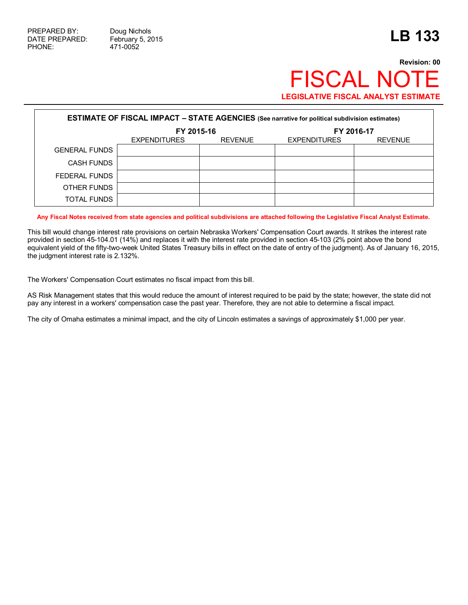## **Revision: 00 FISCAL NO LEGISLATIVE FISCAL ANALYST ESTIMATE**

| <b>ESTIMATE OF FISCAL IMPACT - STATE AGENCIES</b> (See narrative for political subdivision estimates) |                                       |  |                     |                |  |  |  |
|-------------------------------------------------------------------------------------------------------|---------------------------------------|--|---------------------|----------------|--|--|--|
|                                                                                                       | FY 2015-16                            |  | FY 2016-17          |                |  |  |  |
|                                                                                                       | <b>REVENUE</b><br><b>EXPENDITURES</b> |  | <b>EXPENDITURES</b> | <b>REVENUE</b> |  |  |  |
| <b>GENERAL FUNDS</b>                                                                                  |                                       |  |                     |                |  |  |  |
| <b>CASH FUNDS</b>                                                                                     |                                       |  |                     |                |  |  |  |
| FEDERAL FUNDS                                                                                         |                                       |  |                     |                |  |  |  |
| OTHER FUNDS                                                                                           |                                       |  |                     |                |  |  |  |
| <b>TOTAL FUNDS</b>                                                                                    |                                       |  |                     |                |  |  |  |

**Any Fiscal Notes received from state agencies and political subdivisions are attached following the Legislative Fiscal Analyst Estimate.**

This bill would change interest rate provisions on certain Nebraska Workers' Compensation Court awards. It strikes the interest rate provided in section 45-104.01 (14%) and replaces it with the interest rate provided in section 45-103 (2% point above the bond equivalent yield of the fifty-two-week United States Treasury bills in effect on the date of entry of the judgment). As of January 16, 2015, the judgment interest rate is 2.132%.

The Workers' Compensation Court estimates no fiscal impact from this bill.

AS Risk Management states that this would reduce the amount of interest required to be paid by the state; however, the state did not pay any interest in a workers' compensation case the past year. Therefore, they are not able to determine a fiscal impact.

The city of Omaha estimates a minimal impact, and the city of Lincoln estimates a savings of approximately \$1,000 per year.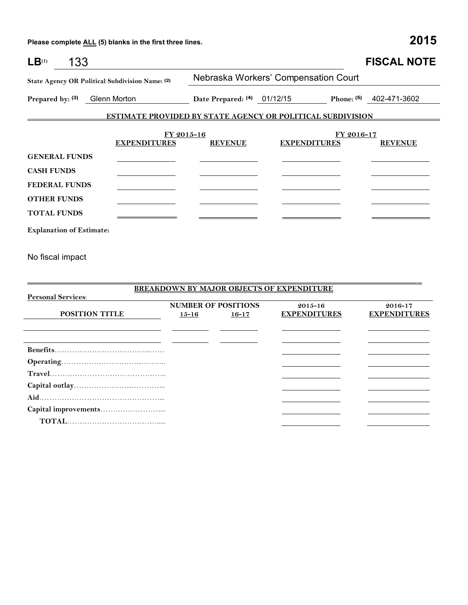**Travel**……………………………………….. **Capital outlay**…………………...………….. **Aid**…………………………………………... **Capital improvements**……………………...  **TOTAL**……………………………….....

| 133<br>LB <sup>(1)</sup>                                                      |                     |                             |                                                                   | <b>FISCAL NOTE</b>  |  |  |
|-------------------------------------------------------------------------------|---------------------|-----------------------------|-------------------------------------------------------------------|---------------------|--|--|
| State Agency OR Political Subdivision Name: (2)                               |                     |                             | Nebraska Workers' Compensation Court                              |                     |  |  |
| Prepared by: (3)<br>Glenn Morton                                              |                     | Date Prepared: (4) 01/12/15 | Phone: (5)                                                        | 402-471-3602        |  |  |
|                                                                               |                     |                             | <b>ESTIMATE PROVIDED BY STATE AGENCY OR POLITICAL SUBDIVISION</b> |                     |  |  |
|                                                                               | FY 2015-16          |                             | FY 2016-17                                                        |                     |  |  |
|                                                                               | <b>EXPENDITURES</b> | <b>REVENUE</b>              | <b>EXPENDITURES</b>                                               | <b>REVENUE</b>      |  |  |
| <b>GENERAL FUNDS</b>                                                          |                     |                             |                                                                   |                     |  |  |
| <b>CASH FUNDS</b>                                                             |                     |                             |                                                                   |                     |  |  |
| <b>FEDERAL FUNDS</b>                                                          |                     |                             |                                                                   |                     |  |  |
| <b>OTHER FUNDS</b>                                                            |                     |                             |                                                                   |                     |  |  |
| <b>TOTAL FUNDS</b>                                                            |                     |                             |                                                                   |                     |  |  |
| <b>Explanation of Estimate:</b>                                               |                     |                             |                                                                   |                     |  |  |
| No fiscal impact                                                              |                     |                             |                                                                   |                     |  |  |
|                                                                               |                     |                             |                                                                   |                     |  |  |
|                                                                               |                     |                             |                                                                   |                     |  |  |
| <b>BREAKDOWN BY MAJOR OBJECTS OF EXPENDITURE</b><br><b>Personal Services:</b> |                     |                             |                                                                   |                     |  |  |
|                                                                               |                     | <b>NUMBER OF POSITIONS</b>  | 2015-16                                                           | 2016-17             |  |  |
| <b>POSITION TITLE</b>                                                         |                     | $15 - 16$<br>$16 - 17$      | <b>EXPENDITURES</b>                                               | <b>EXPENDITURES</b> |  |  |
|                                                                               |                     |                             |                                                                   |                     |  |  |
|                                                                               |                     |                             |                                                                   |                     |  |  |
|                                                                               |                     |                             |                                                                   |                     |  |  |
|                                                                               |                     |                             |                                                                   |                     |  |  |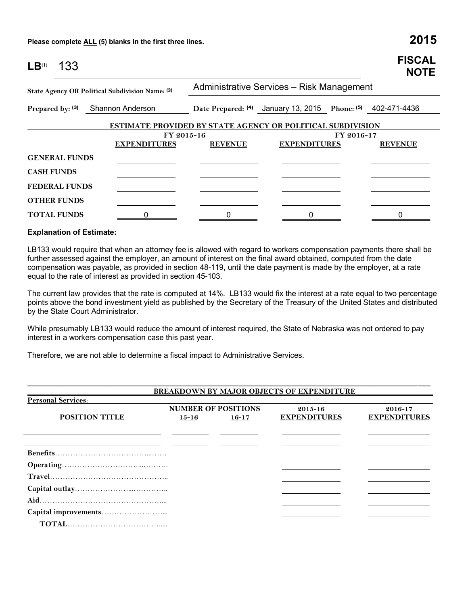| LB <sup>(1)</sup> | 133                  |                                                                   |                                           |                                                             |            | <b>FISCAL</b><br><b>NOTE</b> |  |  |
|-------------------|----------------------|-------------------------------------------------------------------|-------------------------------------------|-------------------------------------------------------------|------------|------------------------------|--|--|
|                   |                      | State Agency OR Political Subdivision Name: (2)                   | Administrative Services - Risk Management |                                                             |            |                              |  |  |
|                   | Prepared by: (3)     | Shannon Anderson                                                  |                                           | Date Prepared: (4) January 13, 2015 Phone: (5) 402-471-4436 |            |                              |  |  |
|                   |                      | <b>ESTIMATE PROVIDED BY STATE AGENCY OR POLITICAL SUBDIVISION</b> |                                           |                                                             |            |                              |  |  |
|                   |                      | FY 2015-16                                                        |                                           |                                                             | FY 2016-17 |                              |  |  |
|                   |                      | <b>EXPENDITURES</b>                                               | <b>REVENUE</b>                            | <b>EXPENDITURES</b>                                         |            | <b>REVENUE</b>               |  |  |
|                   | <b>GENERAL FUNDS</b> |                                                                   |                                           |                                                             |            |                              |  |  |
| <b>CASH FUNDS</b> |                      |                                                                   |                                           |                                                             |            |                              |  |  |
|                   | <b>FEDERAL FUNDS</b> |                                                                   |                                           |                                                             |            |                              |  |  |
|                   | <b>OTHER FUNDS</b>   |                                                                   |                                           |                                                             |            |                              |  |  |
|                   | <b>TOTAL FUNDS</b>   |                                                                   | 0                                         | 0                                                           |            |                              |  |  |

## **Explanation of Estimate:**

LB133 would require that when an attorney fee is allowed with regard to workers compensation payments there shall be further assessed against the employer, an amount of interest on the final award obtained, computed from the date compensation was payable, as provided in section 48-119, until the date payment is made by the employer, at a rate equal to the rate of interest as provided in section 45-103.

The current law provides that the rate is computed at 14%. LB133 would fix the interest at a rate equal to two percentage points above the bond investment yield as published by the Secretary of the Treasury of the United States and distributed by the State Court Administrator.

While presumably LB133 would reduce the amount of interest required, the State of Nebraska was not ordered to pay interest in a workers compensation case this past year.

\_\_\_\_\_\_\_\_\_\_\_\_\_\_\_\_\_\_\_\_\_\_\_\_\_\_\_\_\_\_\_\_\_\_\_\_\_\_\_\_\_\_\_\_\_\_\_\_\_\_\_\_\_\_\_\_\_\_\_\_\_\_\_\_\_\_\_\_\_\_\_\_\_\_\_\_\_\_\_\_\_\_\_\_\_\_\_\_\_\_\_\_\_\_\_\_\_\_\_\_\_\_ \_\_\_

Therefore, we are not able to determine a fiscal impact to Administrative Services.

| <b>BREAKDOWN BY MAJOR OBJECTS OF EXPENDITURE</b> |           |                                         |                                    |                                |  |  |  |
|--------------------------------------------------|-----------|-----------------------------------------|------------------------------------|--------------------------------|--|--|--|
| <b>Personal Services:</b>                        |           |                                         |                                    |                                |  |  |  |
| <b>POSITION TITLE</b>                            | $15 - 16$ | <b>NUMBER OF POSITIONS</b><br>$16 - 17$ | $2015 - 16$<br><b>EXPENDITURES</b> | 2016-17<br><b>EXPENDITURES</b> |  |  |  |
|                                                  |           |                                         |                                    |                                |  |  |  |
|                                                  |           |                                         |                                    |                                |  |  |  |
|                                                  |           |                                         |                                    |                                |  |  |  |
|                                                  |           |                                         |                                    |                                |  |  |  |
|                                                  |           |                                         |                                    |                                |  |  |  |
|                                                  |           |                                         |                                    |                                |  |  |  |
|                                                  |           |                                         |                                    |                                |  |  |  |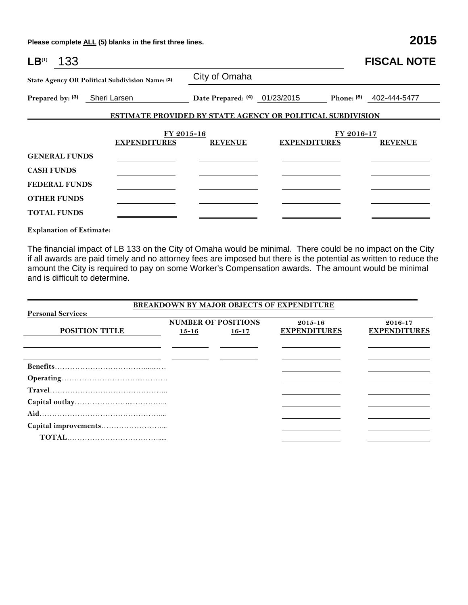| $LB^{(1)}$<br>133                               |                                                                   |                                          |                     |            | <b>FISCAL NOTE</b>        |
|-------------------------------------------------|-------------------------------------------------------------------|------------------------------------------|---------------------|------------|---------------------------|
| State Agency OR Political Subdivision Name: (2) |                                                                   | City of Omaha                            |                     |            |                           |
| Prepared by: (3) Sheri Larsen                   |                                                                   | Date Prepared: <sup>(4)</sup> 01/23/2015 |                     |            | Phone: $(5)$ 402-444-5477 |
|                                                 | <b>ESTIMATE PROVIDED BY STATE AGENCY OR POLITICAL SUBDIVISION</b> |                                          |                     |            |                           |
|                                                 | FY 2015-16<br><b>EXPENDITURES</b>                                 | <b>REVENUE</b>                           | <b>EXPENDITURES</b> | FY 2016-17 | <b>REVENUE</b>            |
| <b>GENERAL FUNDS</b>                            |                                                                   |                                          |                     |            |                           |
| <b>CASH FUNDS</b>                               |                                                                   |                                          |                     |            |                           |
| <b>FEDERAL FUNDS</b>                            |                                                                   |                                          |                     |            |                           |
| <b>OTHER FUNDS</b>                              |                                                                   |                                          |                     |            |                           |
| <b>TOTAL FUNDS</b>                              |                                                                   |                                          |                     |            |                           |

**Explanation of Estimate:**

The financial impact of LB 133 on the City of Omaha would be minimal. There could be no impact on the City if all awards are paid timely and no attorney fees are imposed but there is the potential as written to reduce the amount the City is required to pay on some Worker's Compensation awards. The amount would be minimal and is difficult to determine.

|                           |           |                                         | <b>BREAKDOWN BY MAJOR OBJECTS OF EXPENDITURE</b> |                                |
|---------------------------|-----------|-----------------------------------------|--------------------------------------------------|--------------------------------|
| <b>Personal Services:</b> |           |                                         |                                                  |                                |
| <b>POSITION TITLE</b>     | $15 - 16$ | <b>NUMBER OF POSITIONS</b><br>$16 - 17$ | $2015 - 16$<br><b>EXPENDITURES</b>               | 2016-17<br><b>EXPENDITURES</b> |
|                           |           |                                         |                                                  |                                |
|                           |           |                                         |                                                  |                                |
|                           |           |                                         |                                                  |                                |
|                           |           |                                         |                                                  |                                |
|                           |           |                                         |                                                  |                                |
|                           |           |                                         |                                                  |                                |
|                           |           |                                         |                                                  |                                |
|                           |           |                                         |                                                  |                                |